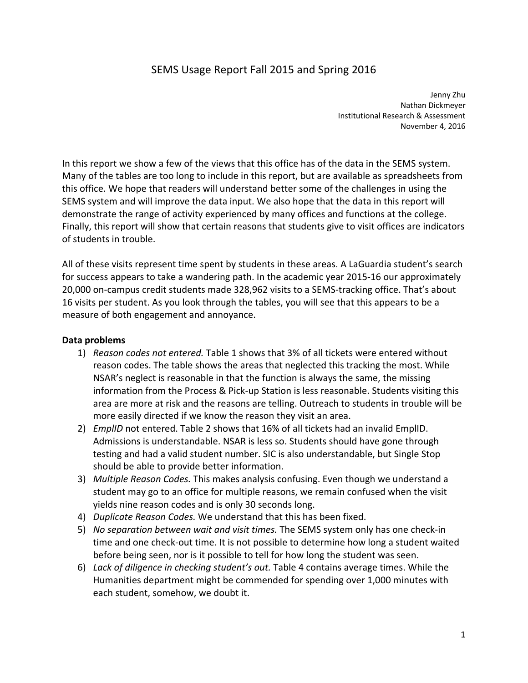# SEMS Usage Report Fall 2015 and Spring 2016

 Jenny Zhu Nathan Dickmeyer Institutional Research & Assessment November 4, 2016

 In this report we show a few of the views that this office has of the data in the SEMS system. Many of the tables are too long to include in this report, but are available as spreadsheets from this office. We hope that readers will understand better some of the challenges in using the SEMS system and will improve the data input. We also hope that the data in this report will demonstrate the range of activity experienced by many offices and functions at the college. Finally, this report will show that certain reasons that students give to visit offices are indicators of students in trouble.

 All of these visits represent time spent by students in these areas. A LaGuardia student's search for success appears to take a wandering path. In the academic year 2015‐16 our approximately 20,000 on‐campus credit students made 328,962 visits to a SEMS‐tracking office. That's about 16 visits per student. As you look through the tables, you will see that this appears to be a measure of both engagement and annoyance.

### **Data problems**

- 1) *Reason codes not entered.* Table 1 shows that 3% of all tickets were entered without reason codes. The table shows the areas that neglected this tracking the most. While NSAR's neglect is reasonable in that the function is always the same, the missing information from the Process & Pick‐up Station is less reasonable. Students visiting this area are more at risk and the reasons are telling. Outreach to students in trouble will be more easily directed if we know the reason they visit an area.
- 2) *EmplID* not entered. Table 2 shows that 16% of all tickets had an invalid EmplID. Admissions is understandable. NSAR is less so. Students should have gone through testing and had a valid student number. SIC is also understandable, but Single Stop should be able to provide better information.
- 3) *Multiple Reason Codes.* This makes analysis confusing. Even though we understand a student may go to an office for multiple reasons, we remain confused when the visit yields nine reason codes and is only 30 seconds long.
- 4) *Duplicate Reason Codes.* We understand that this has been fixed.
- 5) *No separation between wait and visit times.* The SEMS system only has one check‐in time and one check‐out time. It is not possible to determine how long a student waited before being seen, nor is it possible to tell for how long the student was seen.
- 6) *Lack of diligence in checking student's out.* Table 4 contains average times. While the Humanities department might be commended for spending over 1,000 minutes with each student, somehow, we doubt it.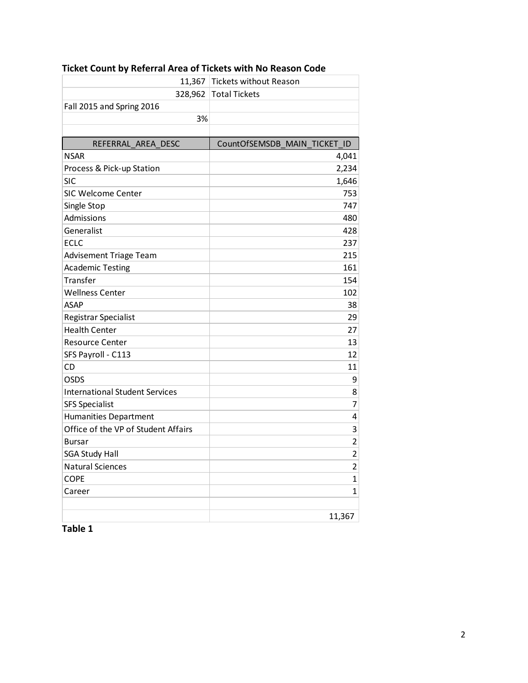| 11,367                                | <b>Tickets without Reason</b> |
|---------------------------------------|-------------------------------|
| 328,962                               | <b>Total Tickets</b>          |
| Fall 2015 and Spring 2016             |                               |
| 3%                                    |                               |
|                                       |                               |
| REFERRAL AREA DESC                    | CountOfSEMSDB MAIN TICKET ID  |
| <b>NSAR</b>                           | 4,041                         |
| Process & Pick-up Station             | 2,234                         |
| <b>SIC</b>                            | 1,646                         |
| <b>SIC Welcome Center</b>             | 753                           |
| Single Stop                           | 747                           |
| Admissions                            | 480                           |
| Generalist                            | 428                           |
| <b>ECLC</b>                           | 237                           |
| Advisement Triage Team                | 215                           |
| <b>Academic Testing</b>               | 161                           |
| Transfer                              | 154                           |
| <b>Wellness Center</b>                | 102                           |
| <b>ASAP</b>                           | 38                            |
| Registrar Specialist                  | 29                            |
| <b>Health Center</b>                  | 27                            |
| <b>Resource Center</b>                | 13                            |
| SFS Payroll - C113                    | 12                            |
| CD                                    | 11                            |
| <b>OSDS</b>                           | 9                             |
| <b>International Student Services</b> | 8                             |
| <b>SFS Specialist</b>                 | 7                             |
| <b>Humanities Department</b>          | 4                             |
| Office of the VP of Student Affairs   | 3                             |
| <b>Bursar</b>                         | $\overline{2}$                |
| <b>SGA Study Hall</b>                 | $\overline{2}$                |
| <b>Natural Sciences</b>               | $\overline{2}$                |
| <b>COPE</b>                           | $\mathbf{1}$                  |
| Career                                | 1                             |
|                                       |                               |
|                                       | 11,367                        |

#### **Ticket Count by Referral Area of Tickets with No Reason Code**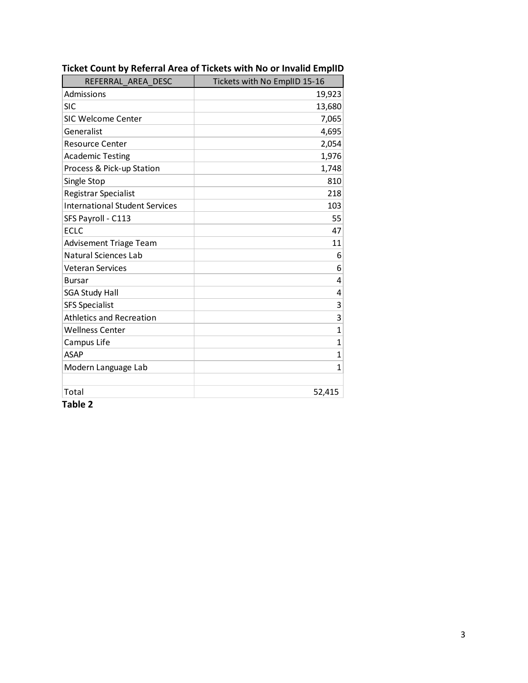| REFERRAL AREA DESC                    | Tickets with No EmplID 15-16 |
|---------------------------------------|------------------------------|
| Admissions                            | 19,923                       |
| <b>SIC</b>                            | 13,680                       |
| <b>SIC Welcome Center</b>             | 7,065                        |
| Generalist                            | 4,695                        |
| <b>Resource Center</b>                | 2,054                        |
| <b>Academic Testing</b>               | 1,976                        |
| Process & Pick-up Station             | 1,748                        |
| Single Stop                           | 810                          |
| Registrar Specialist                  | 218                          |
| <b>International Student Services</b> | 103                          |
| SFS Payroll - C113                    | 55                           |
| <b>ECLC</b>                           | 47                           |
| <b>Advisement Triage Team</b>         | 11                           |
| <b>Natural Sciences Lab</b>           | 6                            |
| <b>Veteran Services</b>               | 6                            |
| <b>Bursar</b>                         | 4                            |
| <b>SGA Study Hall</b>                 | 4                            |
| <b>SFS Specialist</b>                 | 3                            |
| <b>Athletics and Recreation</b>       | 3                            |
| <b>Wellness Center</b>                | $\overline{1}$               |
| Campus Life                           | $\mathbf{1}$                 |
| <b>ASAP</b>                           | 1                            |
| Modern Language Lab                   | $\mathbf{1}$                 |
|                                       |                              |
| Total                                 | 52,415                       |

 **Ticket Count by Referral Area of Tickets with No or Invalid EmplID**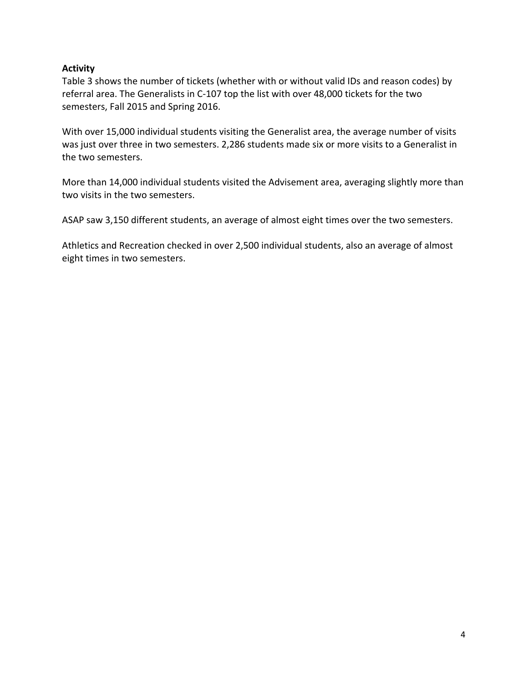### **Activity**

 Table 3 shows the number of tickets (whether with or without valid IDs and reason codes) by referral area. The Generalists in C‐107 top the list with over 48,000 tickets for the two semesters, Fall 2015 and Spring 2016.

 With over 15,000 individual students visiting the Generalist area, the average number of visits was just over three in two semesters. 2,286 students made six or more visits to a Generalist in the two semesters.

 More than 14,000 individual students visited the Advisement area, averaging slightly more than two visits in the two semesters.

ASAP saw 3,150 different students, an average of almost eight times over the two semesters.

 Athletics and Recreation checked in over 2,500 individual students, also an average of almost eight times in two semesters.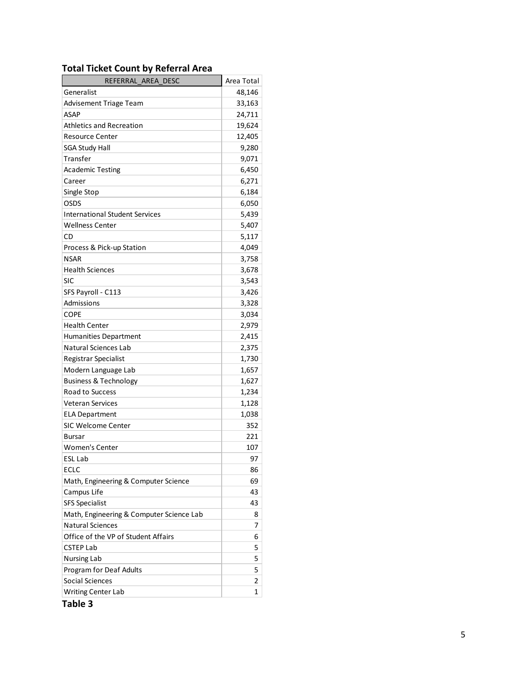#### **Total Ticket Count by Referral Area**

| REFERRAL_AREA_DESC                       | Area Total  |
|------------------------------------------|-------------|
| Generalist                               | 48,146      |
| Advisement Triage Team                   | 33,163      |
| <b>ASAP</b>                              | 24,711      |
| <b>Athletics and Recreation</b>          | 19,624      |
| <b>Resource Center</b>                   | 12,405      |
| <b>SGA Study Hall</b>                    | 9,280       |
| Transfer                                 | 9,071       |
| <b>Academic Testing</b>                  | 6,450       |
| Career                                   | 6,271       |
| Single Stop                              | 6,184       |
| OSDS                                     | 6,050       |
| <b>International Student Services</b>    | 5,439       |
| <b>Wellness Center</b>                   | 5,407       |
| CD                                       | 5,117       |
| Process & Pick-up Station                | 4,049       |
| <b>NSAR</b>                              | 3,758       |
| <b>Health Sciences</b>                   | 3,678       |
| SIC                                      | 3,543       |
| SFS Payroll - C113                       | 3,426       |
| Admissions                               | 3,328       |
| <b>COPE</b>                              | 3,034       |
| <b>Health Center</b>                     | 2,979       |
| <b>Humanities Department</b>             | 2,415       |
| Natural Sciences Lab                     | 2,375       |
| Registrar Specialist                     | 1,730       |
| Modern Language Lab                      | 1,657       |
| <b>Business &amp; Technology</b>         | 1,627       |
| <b>Road to Success</b>                   | 1,234       |
| <b>Veteran Services</b>                  | 1,128       |
| <b>ELA Department</b>                    | 1,038       |
| <b>SIC Welcome Center</b>                | 352         |
| Bursar                                   | 221         |
| <b>Women's Center</b>                    | 107         |
| <b>ESL Lab</b>                           | 97          |
| ECLC                                     | 86          |
| Math, Engineering & Computer Science     | 69          |
| Campus Life                              | 43          |
| <b>SFS Specialist</b>                    | 43          |
| Math, Engineering & Computer Science Lab | 8           |
| <b>Natural Sciences</b>                  | 7           |
| Office of the VP of Student Affairs      | 6           |
| <b>CSTEP Lab</b>                         | 5           |
| <b>Nursing Lab</b>                       | 5           |
| Program for Deaf Adults                  | 5           |
| Social Sciences                          | 2           |
| <b>Writing Center Lab</b>                | $\mathbf 1$ |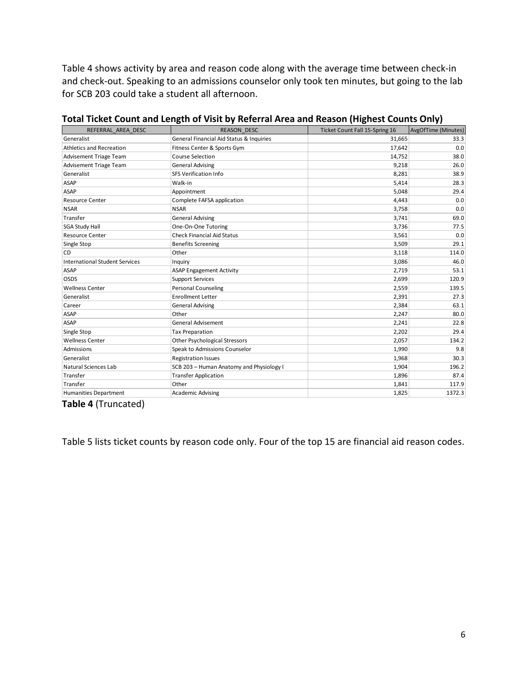Table 4 shows activity by area and reason code along with the average time between check‐in and check‐out. Speaking to an admissions counselor only took ten minutes, but going to the lab for SCB 203 could take a student all afternoon.

| REFERRAL AREA DESC                    | <b>REASON DESC</b>                       | Ticket Count Fall 15-Spring 16 | <b>AvgOfTime (Minutes)</b> |
|---------------------------------------|------------------------------------------|--------------------------------|----------------------------|
| Generalist                            | General Financial Aid Status & Inquiries | 31,665                         | 33.3                       |
| <b>Athletics and Recreation</b>       | Fitness Center & Sports Gym              | 17,642                         | 0.0                        |
| <b>Advisement Triage Team</b>         | <b>Course Selection</b>                  | 14,752                         | 38.0                       |
| <b>Advisement Triage Team</b>         | <b>General Advising</b>                  | 9,218                          | 26.0                       |
| Generalist                            | <b>SFS Verification Info</b>             | 8,281                          | 38.9                       |
| <b>ASAP</b>                           | Walk-in                                  | 5,414                          | 28.3                       |
| <b>ASAP</b>                           | Appointment                              | 5,048                          | 29.4                       |
| <b>Resource Center</b>                | Complete FAFSA application               | 4,443                          | 0.0                        |
| <b>NSAR</b>                           | <b>NSAR</b>                              | 3,758                          | 0.0                        |
| Transfer                              | <b>General Advising</b>                  | 3,741                          | 69.0                       |
| <b>SGA Study Hall</b>                 | One-On-One Tutoring                      | 3,736                          | 77.5                       |
| <b>Resource Center</b>                | <b>Check Financial Aid Status</b>        | 3,561                          | 0.0                        |
| Single Stop                           | <b>Benefits Screening</b>                | 3,509                          | 29.1                       |
| CD                                    | Other                                    | 3,118                          | 114.0                      |
| <b>International Student Services</b> | Inquiry                                  | 3,086                          | 46.0                       |
| <b>ASAP</b>                           | <b>ASAP Engagement Activity</b>          | 2,719                          | 53.1                       |
| OSDS                                  | <b>Support Services</b>                  | 2,699                          | 120.9                      |
| <b>Wellness Center</b>                | <b>Personal Counseling</b>               | 2,559                          | 139.5                      |
| Generalist                            | <b>Enrollment Letter</b>                 | 2,391                          | 27.3                       |
| Career                                | <b>General Advising</b>                  | 2,384                          | 63.1                       |
| <b>ASAP</b>                           | Other                                    | 2,247                          | 80.0                       |
| <b>ASAP</b>                           | <b>General Advisement</b>                | 2,241                          | 22.8                       |
| Single Stop                           | <b>Tax Preparation</b>                   | 2,202                          | 29.4                       |
| <b>Wellness Center</b>                | <b>Other Psychological Stressors</b>     | 2,057                          | 134.2                      |
| Admissions                            | Speak to Admissions Counselor            | 1,990                          | 9.8                        |
| Generalist                            | <b>Registration Issues</b>               | 1,968                          | 30.3                       |
| Natural Sciences Lab                  | SCB 203 - Human Anatomy and Physiology I | 1,904                          | 196.2                      |
| Transfer                              | <b>Transfer Application</b>              | 1,896                          | 87.4                       |
| Transfer                              | Other                                    | 1,841                          | 117.9                      |
| <b>Humanities Department</b>          | <b>Academic Advising</b>                 | 1,825                          | 1372.3                     |

#### Total Ticket Count and Length of Visit by Referral Area and Reason (Highest Counts Only)

 **Table 4** (Truncated)

Table 5 lists ticket counts by reason code only. Four of the top 15 are financial aid reason codes.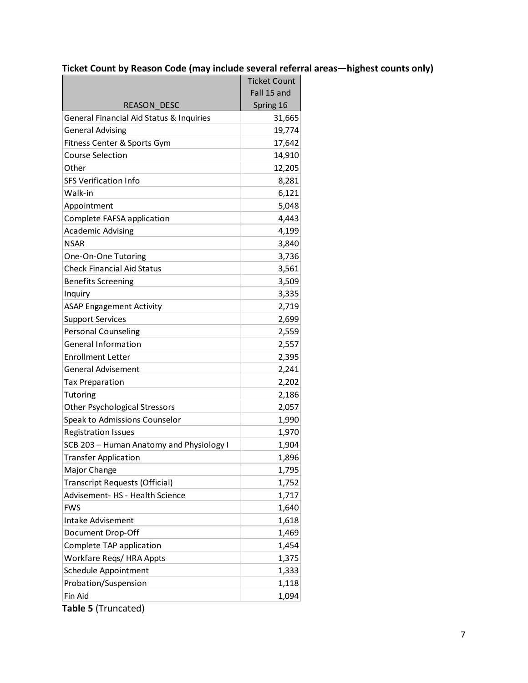# **Ticket Count by Reason Code (may include several referral areas—highest counts only)**

| Fall 15 and<br>Spring 16<br><b>REASON DESC</b><br>General Financial Aid Status & Inquiries<br>31,665<br><b>General Advising</b><br>19,774<br>Fitness Center & Sports Gym<br>17,642<br><b>Course Selection</b><br>14,910<br>Other<br>12,205<br><b>SFS Verification Info</b><br>8,281<br>Walk-in<br>6,121<br>5,048<br>Appointment<br>4,443<br>Complete FAFSA application<br><b>Academic Advising</b><br>4,199<br>NSAR<br>3,840<br>3,736<br>One-On-One Tutoring<br><b>Check Financial Aid Status</b><br>3,561<br>3,509<br><b>Benefits Screening</b><br>3,335<br>Inquiry<br>2,719<br><b>ASAP Engagement Activity</b><br><b>Support Services</b><br>2,699<br><b>Personal Counseling</b><br>2,559<br><b>General Information</b><br>2,557<br><b>Enrollment Letter</b><br>2,395<br>2,241<br><b>General Advisement</b><br>2,202<br><b>Tax Preparation</b><br>2,186<br><b>Tutoring</b><br><b>Other Psychological Stressors</b><br>2,057<br>Speak to Admissions Counselor<br>1,990<br><b>Registration Issues</b><br>1,970<br>SCB 203 - Human Anatomy and Physiology I<br>1,904<br><b>Transfer Application</b><br>1,896<br>Major Change<br>1,795<br><b>Transcript Requests (Official)</b><br>1,752<br>Advisement- HS - Health Science<br>1,717<br><b>FWS</b><br>1,640<br>Intake Advisement<br>1,618<br>Document Drop-Off<br>1,469<br>Complete TAP application<br>1,454<br>1,375<br>Workfare Regs/HRA Appts<br>Schedule Appointment<br>1,333<br>Probation/Suspension<br>1,118<br>Fin Aid<br>1,094 | <b>Ticket Count</b> |
|--------------------------------------------------------------------------------------------------------------------------------------------------------------------------------------------------------------------------------------------------------------------------------------------------------------------------------------------------------------------------------------------------------------------------------------------------------------------------------------------------------------------------------------------------------------------------------------------------------------------------------------------------------------------------------------------------------------------------------------------------------------------------------------------------------------------------------------------------------------------------------------------------------------------------------------------------------------------------------------------------------------------------------------------------------------------------------------------------------------------------------------------------------------------------------------------------------------------------------------------------------------------------------------------------------------------------------------------------------------------------------------------------------------------------------------------------------------------------------------|---------------------|
|                                                                                                                                                                                                                                                                                                                                                                                                                                                                                                                                                                                                                                                                                                                                                                                                                                                                                                                                                                                                                                                                                                                                                                                                                                                                                                                                                                                                                                                                                      |                     |
|                                                                                                                                                                                                                                                                                                                                                                                                                                                                                                                                                                                                                                                                                                                                                                                                                                                                                                                                                                                                                                                                                                                                                                                                                                                                                                                                                                                                                                                                                      |                     |
|                                                                                                                                                                                                                                                                                                                                                                                                                                                                                                                                                                                                                                                                                                                                                                                                                                                                                                                                                                                                                                                                                                                                                                                                                                                                                                                                                                                                                                                                                      |                     |
|                                                                                                                                                                                                                                                                                                                                                                                                                                                                                                                                                                                                                                                                                                                                                                                                                                                                                                                                                                                                                                                                                                                                                                                                                                                                                                                                                                                                                                                                                      |                     |
|                                                                                                                                                                                                                                                                                                                                                                                                                                                                                                                                                                                                                                                                                                                                                                                                                                                                                                                                                                                                                                                                                                                                                                                                                                                                                                                                                                                                                                                                                      |                     |
|                                                                                                                                                                                                                                                                                                                                                                                                                                                                                                                                                                                                                                                                                                                                                                                                                                                                                                                                                                                                                                                                                                                                                                                                                                                                                                                                                                                                                                                                                      |                     |
|                                                                                                                                                                                                                                                                                                                                                                                                                                                                                                                                                                                                                                                                                                                                                                                                                                                                                                                                                                                                                                                                                                                                                                                                                                                                                                                                                                                                                                                                                      |                     |
|                                                                                                                                                                                                                                                                                                                                                                                                                                                                                                                                                                                                                                                                                                                                                                                                                                                                                                                                                                                                                                                                                                                                                                                                                                                                                                                                                                                                                                                                                      |                     |
|                                                                                                                                                                                                                                                                                                                                                                                                                                                                                                                                                                                                                                                                                                                                                                                                                                                                                                                                                                                                                                                                                                                                                                                                                                                                                                                                                                                                                                                                                      |                     |
|                                                                                                                                                                                                                                                                                                                                                                                                                                                                                                                                                                                                                                                                                                                                                                                                                                                                                                                                                                                                                                                                                                                                                                                                                                                                                                                                                                                                                                                                                      |                     |
|                                                                                                                                                                                                                                                                                                                                                                                                                                                                                                                                                                                                                                                                                                                                                                                                                                                                                                                                                                                                                                                                                                                                                                                                                                                                                                                                                                                                                                                                                      |                     |
|                                                                                                                                                                                                                                                                                                                                                                                                                                                                                                                                                                                                                                                                                                                                                                                                                                                                                                                                                                                                                                                                                                                                                                                                                                                                                                                                                                                                                                                                                      |                     |
|                                                                                                                                                                                                                                                                                                                                                                                                                                                                                                                                                                                                                                                                                                                                                                                                                                                                                                                                                                                                                                                                                                                                                                                                                                                                                                                                                                                                                                                                                      |                     |
|                                                                                                                                                                                                                                                                                                                                                                                                                                                                                                                                                                                                                                                                                                                                                                                                                                                                                                                                                                                                                                                                                                                                                                                                                                                                                                                                                                                                                                                                                      |                     |
|                                                                                                                                                                                                                                                                                                                                                                                                                                                                                                                                                                                                                                                                                                                                                                                                                                                                                                                                                                                                                                                                                                                                                                                                                                                                                                                                                                                                                                                                                      |                     |
|                                                                                                                                                                                                                                                                                                                                                                                                                                                                                                                                                                                                                                                                                                                                                                                                                                                                                                                                                                                                                                                                                                                                                                                                                                                                                                                                                                                                                                                                                      |                     |
|                                                                                                                                                                                                                                                                                                                                                                                                                                                                                                                                                                                                                                                                                                                                                                                                                                                                                                                                                                                                                                                                                                                                                                                                                                                                                                                                                                                                                                                                                      |                     |
|                                                                                                                                                                                                                                                                                                                                                                                                                                                                                                                                                                                                                                                                                                                                                                                                                                                                                                                                                                                                                                                                                                                                                                                                                                                                                                                                                                                                                                                                                      |                     |
|                                                                                                                                                                                                                                                                                                                                                                                                                                                                                                                                                                                                                                                                                                                                                                                                                                                                                                                                                                                                                                                                                                                                                                                                                                                                                                                                                                                                                                                                                      |                     |
|                                                                                                                                                                                                                                                                                                                                                                                                                                                                                                                                                                                                                                                                                                                                                                                                                                                                                                                                                                                                                                                                                                                                                                                                                                                                                                                                                                                                                                                                                      |                     |
|                                                                                                                                                                                                                                                                                                                                                                                                                                                                                                                                                                                                                                                                                                                                                                                                                                                                                                                                                                                                                                                                                                                                                                                                                                                                                                                                                                                                                                                                                      |                     |
|                                                                                                                                                                                                                                                                                                                                                                                                                                                                                                                                                                                                                                                                                                                                                                                                                                                                                                                                                                                                                                                                                                                                                                                                                                                                                                                                                                                                                                                                                      |                     |
|                                                                                                                                                                                                                                                                                                                                                                                                                                                                                                                                                                                                                                                                                                                                                                                                                                                                                                                                                                                                                                                                                                                                                                                                                                                                                                                                                                                                                                                                                      |                     |
|                                                                                                                                                                                                                                                                                                                                                                                                                                                                                                                                                                                                                                                                                                                                                                                                                                                                                                                                                                                                                                                                                                                                                                                                                                                                                                                                                                                                                                                                                      |                     |
|                                                                                                                                                                                                                                                                                                                                                                                                                                                                                                                                                                                                                                                                                                                                                                                                                                                                                                                                                                                                                                                                                                                                                                                                                                                                                                                                                                                                                                                                                      |                     |
|                                                                                                                                                                                                                                                                                                                                                                                                                                                                                                                                                                                                                                                                                                                                                                                                                                                                                                                                                                                                                                                                                                                                                                                                                                                                                                                                                                                                                                                                                      |                     |
|                                                                                                                                                                                                                                                                                                                                                                                                                                                                                                                                                                                                                                                                                                                                                                                                                                                                                                                                                                                                                                                                                                                                                                                                                                                                                                                                                                                                                                                                                      |                     |
|                                                                                                                                                                                                                                                                                                                                                                                                                                                                                                                                                                                                                                                                                                                                                                                                                                                                                                                                                                                                                                                                                                                                                                                                                                                                                                                                                                                                                                                                                      |                     |
|                                                                                                                                                                                                                                                                                                                                                                                                                                                                                                                                                                                                                                                                                                                                                                                                                                                                                                                                                                                                                                                                                                                                                                                                                                                                                                                                                                                                                                                                                      |                     |
|                                                                                                                                                                                                                                                                                                                                                                                                                                                                                                                                                                                                                                                                                                                                                                                                                                                                                                                                                                                                                                                                                                                                                                                                                                                                                                                                                                                                                                                                                      |                     |
|                                                                                                                                                                                                                                                                                                                                                                                                                                                                                                                                                                                                                                                                                                                                                                                                                                                                                                                                                                                                                                                                                                                                                                                                                                                                                                                                                                                                                                                                                      |                     |
|                                                                                                                                                                                                                                                                                                                                                                                                                                                                                                                                                                                                                                                                                                                                                                                                                                                                                                                                                                                                                                                                                                                                                                                                                                                                                                                                                                                                                                                                                      |                     |
|                                                                                                                                                                                                                                                                                                                                                                                                                                                                                                                                                                                                                                                                                                                                                                                                                                                                                                                                                                                                                                                                                                                                                                                                                                                                                                                                                                                                                                                                                      |                     |
|                                                                                                                                                                                                                                                                                                                                                                                                                                                                                                                                                                                                                                                                                                                                                                                                                                                                                                                                                                                                                                                                                                                                                                                                                                                                                                                                                                                                                                                                                      |                     |
|                                                                                                                                                                                                                                                                                                                                                                                                                                                                                                                                                                                                                                                                                                                                                                                                                                                                                                                                                                                                                                                                                                                                                                                                                                                                                                                                                                                                                                                                                      |                     |
|                                                                                                                                                                                                                                                                                                                                                                                                                                                                                                                                                                                                                                                                                                                                                                                                                                                                                                                                                                                                                                                                                                                                                                                                                                                                                                                                                                                                                                                                                      |                     |
|                                                                                                                                                                                                                                                                                                                                                                                                                                                                                                                                                                                                                                                                                                                                                                                                                                                                                                                                                                                                                                                                                                                                                                                                                                                                                                                                                                                                                                                                                      |                     |
|                                                                                                                                                                                                                                                                                                                                                                                                                                                                                                                                                                                                                                                                                                                                                                                                                                                                                                                                                                                                                                                                                                                                                                                                                                                                                                                                                                                                                                                                                      |                     |
|                                                                                                                                                                                                                                                                                                                                                                                                                                                                                                                                                                                                                                                                                                                                                                                                                                                                                                                                                                                                                                                                                                                                                                                                                                                                                                                                                                                                                                                                                      |                     |
|                                                                                                                                                                                                                                                                                                                                                                                                                                                                                                                                                                                                                                                                                                                                                                                                                                                                                                                                                                                                                                                                                                                                                                                                                                                                                                                                                                                                                                                                                      |                     |
|                                                                                                                                                                                                                                                                                                                                                                                                                                                                                                                                                                                                                                                                                                                                                                                                                                                                                                                                                                                                                                                                                                                                                                                                                                                                                                                                                                                                                                                                                      |                     |

 **Table 5** (Truncated)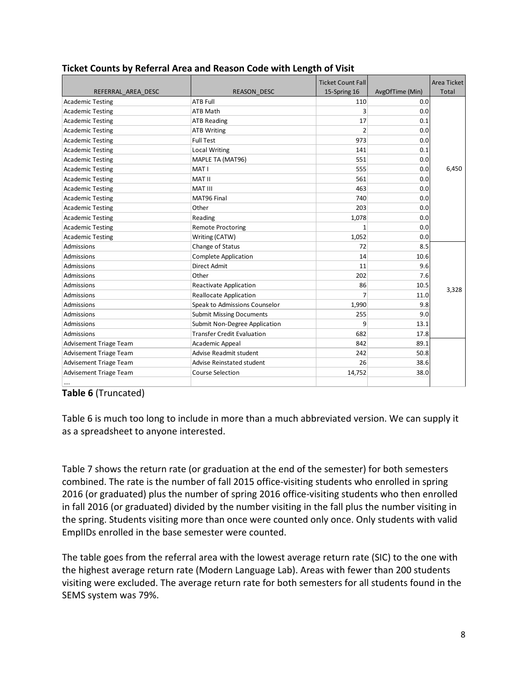|                               |                                   | <b>Ticket Count Fall</b> |                 | <b>Area Ticket</b> |
|-------------------------------|-----------------------------------|--------------------------|-----------------|--------------------|
| REFERRAL AREA DESC            | <b>REASON DESC</b>                | 15-Spring 16             | AvgOfTime (Min) | Total              |
| <b>Academic Testing</b>       | <b>ATB Full</b>                   | 110                      | 0.0             |                    |
| <b>Academic Testing</b>       | <b>ATB Math</b>                   | 3                        | 0.0             |                    |
| <b>Academic Testing</b>       | <b>ATB Reading</b>                | 17                       | 0.1             |                    |
| <b>Academic Testing</b>       | <b>ATB Writing</b>                | 2                        | 0.0             |                    |
| <b>Academic Testing</b>       | <b>Full Test</b>                  | 973                      | 0.0             |                    |
| <b>Academic Testing</b>       | <b>Local Writing</b>              | 141                      | 0.1             |                    |
| <b>Academic Testing</b>       | MAPLE TA (MAT96)                  | 551                      | 0.0             |                    |
| <b>Academic Testing</b>       | MAT I                             | 555                      | 0.0             | 6,450              |
| <b>Academic Testing</b>       | <b>MAT II</b>                     | 561                      | 0.0             |                    |
| <b>Academic Testing</b>       | <b>MAT III</b>                    | 463                      | 0.0             |                    |
| <b>Academic Testing</b>       | MAT96 Final                       | 740                      | 0.0             |                    |
| <b>Academic Testing</b>       | Other                             | 203                      | 0.0             |                    |
| <b>Academic Testing</b>       | Reading                           | 1,078                    | 0.0             |                    |
| <b>Academic Testing</b>       | <b>Remote Proctoring</b>          |                          | 0.0             |                    |
| <b>Academic Testing</b>       | Writing (CATW)                    | 1,052                    | 0.0             |                    |
| Admissions                    | Change of Status                  | 72                       | 8.5             |                    |
| Admissions                    | Complete Application              | 14                       | 10.6            |                    |
| Admissions                    | <b>Direct Admit</b>               | 11                       | 9.6             |                    |
| Admissions                    | Other                             | 202                      | 7.6             |                    |
| Admissions                    | <b>Reactivate Application</b>     | 86                       | 10.5            | 3,328              |
| Admissions                    | <b>Reallocate Application</b>     | 7                        | 11.0            |                    |
| Admissions                    | Speak to Admissions Counselor     | 1,990                    | 9.8             |                    |
| Admissions                    | <b>Submit Missing Documents</b>   | 255                      | 9.0             |                    |
| <b>Admissions</b>             | Submit Non-Degree Application     | 9                        | 13.1            |                    |
| Admissions                    | <b>Transfer Credit Evaluation</b> | 682                      | 17.8            |                    |
| <b>Advisement Triage Team</b> | Academic Appeal                   | 842                      | 89.1            |                    |
| <b>Advisement Triage Team</b> | Advise Readmit student            | 242                      | 50.8            |                    |
| <b>Advisement Triage Team</b> | Advise Reinstated student         | 26                       | 38.6            |                    |
| Advisement Triage Team        | <b>Course Selection</b>           | 14,752                   | 38.0            |                    |
|                               |                                   |                          |                 |                    |

# **Ticket Counts by Referral Area and Reason Code with Length of Visit**

#### **Table 6** (Truncated)

 Table 6 is much too long to include in more than a much abbreviated version. We can supply it as a spreadsheet to anyone interested.

 Table 7 shows the return rate (or graduation at the end of the semester) for both semesters combined. The rate is the number of fall 2015 office‐visiting students who enrolled in spring 2016 (or graduated) plus the number of spring 2016 office‐visiting students who then enrolled in fall 2016 (or graduated) divided by the number visiting in the fall plus the number visiting in the spring. Students visiting more than once were counted only once. Only students with valid EmplIDs enrolled in the base semester were counted.

 The table goes from the referral area with the lowest average return rate (SIC) to the one with the highest average return rate (Modern Language Lab). Areas with fewer than 200 students visiting were excluded. The average return rate for both semesters for all students found in the SEMS system was 79%.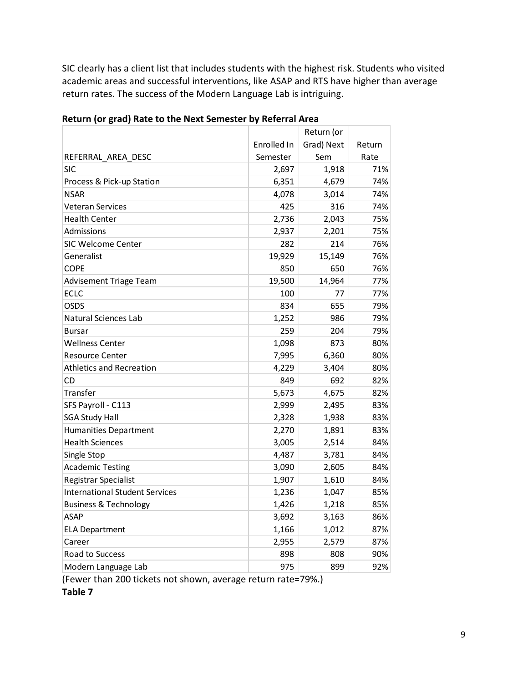SIC clearly has a client list that includes students with the highest risk. Students who visited academic areas and successful interventions, like ASAP and RTS have higher than average return rates. The success of the Modern Language Lab is intriguing.

| Grad) Next<br>Enrolled In<br>Return<br>Semester<br>Sem<br>REFERRAL_AREA DESC<br>Rate<br><b>SIC</b><br>1,918<br>2,697<br>71%<br>6,351<br>Process & Pick-up Station<br>4,679<br>74%<br><b>NSAR</b><br>4,078<br>3,014<br>74%<br><b>Veteran Services</b><br>425<br>316<br>74%<br><b>Health Center</b><br>2,736<br>2,043<br>75%<br>Admissions<br>2,937<br>2,201<br>75%<br><b>SIC Welcome Center</b><br>282<br>214<br>76%<br>Generalist<br>19,929<br>76%<br>15,149<br><b>COPE</b><br>850<br>650<br>76%<br>19,500<br>77%<br><b>Advisement Triage Team</b><br>14,964<br><b>ECLC</b><br>100<br>77%<br>77<br><b>OSDS</b><br>79%<br>834<br>655<br>1,252<br>986<br>Natural Sciences Lab<br>79%<br>259<br>204<br>79%<br><b>Bursar</b><br><b>Wellness Center</b><br>1,098<br>80%<br>873<br><b>Resource Center</b><br>7,995<br>6,360<br>80%<br><b>Athletics and Recreation</b><br>4,229<br>3,404<br>80%<br>692<br><b>CD</b><br>849<br>82%<br>Transfer<br>5,673<br>82%<br>4,675<br>SFS Payroll - C113<br>83%<br>2,999<br>2,495<br><b>SGA Study Hall</b><br>2,328<br>83%<br>1,938<br><b>Humanities Department</b><br>2,270<br>1,891<br>83%<br><b>Health Sciences</b><br>3,005<br>2,514<br>84%<br>4,487<br>84%<br>Single Stop<br>3,781<br><b>Academic Testing</b><br>84%<br>3,090<br>2,605<br>Registrar Specialist<br>84%<br>1,907<br>1,610<br><b>International Student Services</b><br>1,236<br>85%<br>1,047<br><b>Business &amp; Technology</b><br>85%<br>1,426<br>1,218<br>3,692<br>3,163<br>ASAP<br>86%<br>1,166<br>1,012<br>87%<br><b>ELA Department</b><br>Career<br>2,955<br>87%<br>2,579<br>Road to Success<br>898<br>90%<br>808<br>Modern Language Lab<br>975<br>899<br>92% |  | Return (or |  |
|--------------------------------------------------------------------------------------------------------------------------------------------------------------------------------------------------------------------------------------------------------------------------------------------------------------------------------------------------------------------------------------------------------------------------------------------------------------------------------------------------------------------------------------------------------------------------------------------------------------------------------------------------------------------------------------------------------------------------------------------------------------------------------------------------------------------------------------------------------------------------------------------------------------------------------------------------------------------------------------------------------------------------------------------------------------------------------------------------------------------------------------------------------------------------------------------------------------------------------------------------------------------------------------------------------------------------------------------------------------------------------------------------------------------------------------------------------------------------------------------------------------------------------------------------------------------------------------------------------------------------------------------------------------------|--|------------|--|
|                                                                                                                                                                                                                                                                                                                                                                                                                                                                                                                                                                                                                                                                                                                                                                                                                                                                                                                                                                                                                                                                                                                                                                                                                                                                                                                                                                                                                                                                                                                                                                                                                                                                    |  |            |  |
|                                                                                                                                                                                                                                                                                                                                                                                                                                                                                                                                                                                                                                                                                                                                                                                                                                                                                                                                                                                                                                                                                                                                                                                                                                                                                                                                                                                                                                                                                                                                                                                                                                                                    |  |            |  |
|                                                                                                                                                                                                                                                                                                                                                                                                                                                                                                                                                                                                                                                                                                                                                                                                                                                                                                                                                                                                                                                                                                                                                                                                                                                                                                                                                                                                                                                                                                                                                                                                                                                                    |  |            |  |
|                                                                                                                                                                                                                                                                                                                                                                                                                                                                                                                                                                                                                                                                                                                                                                                                                                                                                                                                                                                                                                                                                                                                                                                                                                                                                                                                                                                                                                                                                                                                                                                                                                                                    |  |            |  |
|                                                                                                                                                                                                                                                                                                                                                                                                                                                                                                                                                                                                                                                                                                                                                                                                                                                                                                                                                                                                                                                                                                                                                                                                                                                                                                                                                                                                                                                                                                                                                                                                                                                                    |  |            |  |
|                                                                                                                                                                                                                                                                                                                                                                                                                                                                                                                                                                                                                                                                                                                                                                                                                                                                                                                                                                                                                                                                                                                                                                                                                                                                                                                                                                                                                                                                                                                                                                                                                                                                    |  |            |  |
|                                                                                                                                                                                                                                                                                                                                                                                                                                                                                                                                                                                                                                                                                                                                                                                                                                                                                                                                                                                                                                                                                                                                                                                                                                                                                                                                                                                                                                                                                                                                                                                                                                                                    |  |            |  |
|                                                                                                                                                                                                                                                                                                                                                                                                                                                                                                                                                                                                                                                                                                                                                                                                                                                                                                                                                                                                                                                                                                                                                                                                                                                                                                                                                                                                                                                                                                                                                                                                                                                                    |  |            |  |
|                                                                                                                                                                                                                                                                                                                                                                                                                                                                                                                                                                                                                                                                                                                                                                                                                                                                                                                                                                                                                                                                                                                                                                                                                                                                                                                                                                                                                                                                                                                                                                                                                                                                    |  |            |  |
|                                                                                                                                                                                                                                                                                                                                                                                                                                                                                                                                                                                                                                                                                                                                                                                                                                                                                                                                                                                                                                                                                                                                                                                                                                                                                                                                                                                                                                                                                                                                                                                                                                                                    |  |            |  |
|                                                                                                                                                                                                                                                                                                                                                                                                                                                                                                                                                                                                                                                                                                                                                                                                                                                                                                                                                                                                                                                                                                                                                                                                                                                                                                                                                                                                                                                                                                                                                                                                                                                                    |  |            |  |
|                                                                                                                                                                                                                                                                                                                                                                                                                                                                                                                                                                                                                                                                                                                                                                                                                                                                                                                                                                                                                                                                                                                                                                                                                                                                                                                                                                                                                                                                                                                                                                                                                                                                    |  |            |  |
|                                                                                                                                                                                                                                                                                                                                                                                                                                                                                                                                                                                                                                                                                                                                                                                                                                                                                                                                                                                                                                                                                                                                                                                                                                                                                                                                                                                                                                                                                                                                                                                                                                                                    |  |            |  |
|                                                                                                                                                                                                                                                                                                                                                                                                                                                                                                                                                                                                                                                                                                                                                                                                                                                                                                                                                                                                                                                                                                                                                                                                                                                                                                                                                                                                                                                                                                                                                                                                                                                                    |  |            |  |
|                                                                                                                                                                                                                                                                                                                                                                                                                                                                                                                                                                                                                                                                                                                                                                                                                                                                                                                                                                                                                                                                                                                                                                                                                                                                                                                                                                                                                                                                                                                                                                                                                                                                    |  |            |  |
|                                                                                                                                                                                                                                                                                                                                                                                                                                                                                                                                                                                                                                                                                                                                                                                                                                                                                                                                                                                                                                                                                                                                                                                                                                                                                                                                                                                                                                                                                                                                                                                                                                                                    |  |            |  |
|                                                                                                                                                                                                                                                                                                                                                                                                                                                                                                                                                                                                                                                                                                                                                                                                                                                                                                                                                                                                                                                                                                                                                                                                                                                                                                                                                                                                                                                                                                                                                                                                                                                                    |  |            |  |
|                                                                                                                                                                                                                                                                                                                                                                                                                                                                                                                                                                                                                                                                                                                                                                                                                                                                                                                                                                                                                                                                                                                                                                                                                                                                                                                                                                                                                                                                                                                                                                                                                                                                    |  |            |  |
|                                                                                                                                                                                                                                                                                                                                                                                                                                                                                                                                                                                                                                                                                                                                                                                                                                                                                                                                                                                                                                                                                                                                                                                                                                                                                                                                                                                                                                                                                                                                                                                                                                                                    |  |            |  |
|                                                                                                                                                                                                                                                                                                                                                                                                                                                                                                                                                                                                                                                                                                                                                                                                                                                                                                                                                                                                                                                                                                                                                                                                                                                                                                                                                                                                                                                                                                                                                                                                                                                                    |  |            |  |
|                                                                                                                                                                                                                                                                                                                                                                                                                                                                                                                                                                                                                                                                                                                                                                                                                                                                                                                                                                                                                                                                                                                                                                                                                                                                                                                                                                                                                                                                                                                                                                                                                                                                    |  |            |  |
|                                                                                                                                                                                                                                                                                                                                                                                                                                                                                                                                                                                                                                                                                                                                                                                                                                                                                                                                                                                                                                                                                                                                                                                                                                                                                                                                                                                                                                                                                                                                                                                                                                                                    |  |            |  |
|                                                                                                                                                                                                                                                                                                                                                                                                                                                                                                                                                                                                                                                                                                                                                                                                                                                                                                                                                                                                                                                                                                                                                                                                                                                                                                                                                                                                                                                                                                                                                                                                                                                                    |  |            |  |
|                                                                                                                                                                                                                                                                                                                                                                                                                                                                                                                                                                                                                                                                                                                                                                                                                                                                                                                                                                                                                                                                                                                                                                                                                                                                                                                                                                                                                                                                                                                                                                                                                                                                    |  |            |  |
|                                                                                                                                                                                                                                                                                                                                                                                                                                                                                                                                                                                                                                                                                                                                                                                                                                                                                                                                                                                                                                                                                                                                                                                                                                                                                                                                                                                                                                                                                                                                                                                                                                                                    |  |            |  |
|                                                                                                                                                                                                                                                                                                                                                                                                                                                                                                                                                                                                                                                                                                                                                                                                                                                                                                                                                                                                                                                                                                                                                                                                                                                                                                                                                                                                                                                                                                                                                                                                                                                                    |  |            |  |
|                                                                                                                                                                                                                                                                                                                                                                                                                                                                                                                                                                                                                                                                                                                                                                                                                                                                                                                                                                                                                                                                                                                                                                                                                                                                                                                                                                                                                                                                                                                                                                                                                                                                    |  |            |  |
|                                                                                                                                                                                                                                                                                                                                                                                                                                                                                                                                                                                                                                                                                                                                                                                                                                                                                                                                                                                                                                                                                                                                                                                                                                                                                                                                                                                                                                                                                                                                                                                                                                                                    |  |            |  |
|                                                                                                                                                                                                                                                                                                                                                                                                                                                                                                                                                                                                                                                                                                                                                                                                                                                                                                                                                                                                                                                                                                                                                                                                                                                                                                                                                                                                                                                                                                                                                                                                                                                                    |  |            |  |
|                                                                                                                                                                                                                                                                                                                                                                                                                                                                                                                                                                                                                                                                                                                                                                                                                                                                                                                                                                                                                                                                                                                                                                                                                                                                                                                                                                                                                                                                                                                                                                                                                                                                    |  |            |  |
|                                                                                                                                                                                                                                                                                                                                                                                                                                                                                                                                                                                                                                                                                                                                                                                                                                                                                                                                                                                                                                                                                                                                                                                                                                                                                                                                                                                                                                                                                                                                                                                                                                                                    |  |            |  |
|                                                                                                                                                                                                                                                                                                                                                                                                                                                                                                                                                                                                                                                                                                                                                                                                                                                                                                                                                                                                                                                                                                                                                                                                                                                                                                                                                                                                                                                                                                                                                                                                                                                                    |  |            |  |
|                                                                                                                                                                                                                                                                                                                                                                                                                                                                                                                                                                                                                                                                                                                                                                                                                                                                                                                                                                                                                                                                                                                                                                                                                                                                                                                                                                                                                                                                                                                                                                                                                                                                    |  |            |  |
|                                                                                                                                                                                                                                                                                                                                                                                                                                                                                                                                                                                                                                                                                                                                                                                                                                                                                                                                                                                                                                                                                                                                                                                                                                                                                                                                                                                                                                                                                                                                                                                                                                                                    |  |            |  |
|                                                                                                                                                                                                                                                                                                                                                                                                                                                                                                                                                                                                                                                                                                                                                                                                                                                                                                                                                                                                                                                                                                                                                                                                                                                                                                                                                                                                                                                                                                                                                                                                                                                                    |  |            |  |

 **Return (or grad) Rate to the Next Semester by Referral Area**

(Fewer than 200 tickets not shown, average return rate=79%.)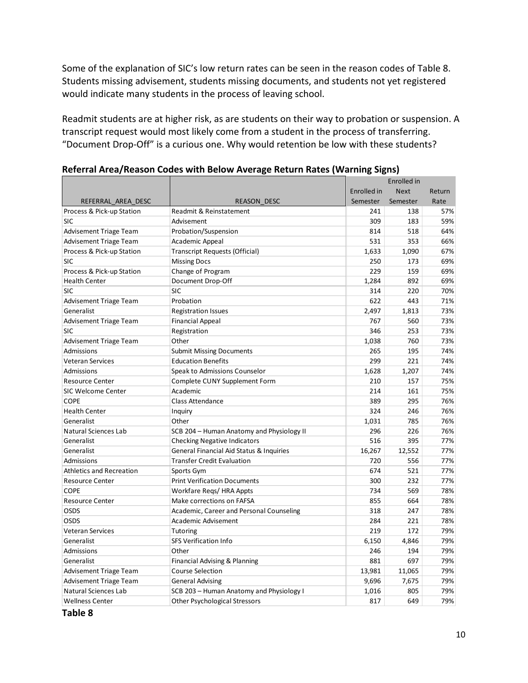Some of the explanation of SIC's low return rates can be seen in the reason codes of Table 8. Students missing advisement, students missing documents, and students not yet registered would indicate many students in the process of leaving school.

 Readmit students are at higher risk, as are students on their way to probation or suspension. A transcript request would most likely come from a student in the process of transferring. "Document Drop‐Off" is a curious one. Why would retention be low with these students?

|                                 |                                           |             | Enrolled in |        |
|---------------------------------|-------------------------------------------|-------------|-------------|--------|
|                                 |                                           | Enrolled in | <b>Next</b> | Return |
| REFERRAL AREA DESC              | <b>REASON DESC</b>                        | Semester    | Semester    | Rate   |
| Process & Pick-up Station       | Readmit & Reinstatement                   | 241         | 138         | 57%    |
| <b>SIC</b>                      | Advisement                                | 309         | 183         | 59%    |
| <b>Advisement Triage Team</b>   | Probation/Suspension                      | 814         | 518         | 64%    |
| <b>Advisement Triage Team</b>   | Academic Appeal                           | 531         | 353         | 66%    |
| Process & Pick-up Station       | Transcript Requests (Official)            | 1,633       | 1,090       | 67%    |
| SIC                             | <b>Missing Docs</b>                       | 250         | 173         | 69%    |
| Process & Pick-up Station       | Change of Program                         | 229         | 159         | 69%    |
| <b>Health Center</b>            | Document Drop-Off                         | 1,284       | 892         | 69%    |
| SIC                             | <b>SIC</b>                                | 314         | 220         | 70%    |
| <b>Advisement Triage Team</b>   | Probation                                 | 622         | 443         | 71%    |
| Generalist                      | <b>Registration Issues</b>                | 2,497       | 1,813       | 73%    |
| <b>Advisement Triage Team</b>   | <b>Financial Appeal</b>                   | 767         | 560         | 73%    |
| SIC                             | Registration                              | 346         | 253         | 73%    |
| <b>Advisement Triage Team</b>   | Other                                     | 1,038       | 760         | 73%    |
| Admissions                      | <b>Submit Missing Documents</b>           | 265         | 195         | 74%    |
| Veteran Services                | <b>Education Benefits</b>                 | 299         | 221         | 74%    |
| Admissions                      | Speak to Admissions Counselor             | 1,628       | 1,207       | 74%    |
| <b>Resource Center</b>          | Complete CUNY Supplement Form             | 210         | 157         | 75%    |
| <b>SIC Welcome Center</b>       | Academic                                  | 214         | 161         | 75%    |
| <b>COPE</b>                     | <b>Class Attendance</b>                   | 389         | 295         | 76%    |
| <b>Health Center</b>            | Inquiry                                   | 324         | 246         | 76%    |
| Generalist                      | Other                                     | 1,031       | 785         | 76%    |
| Natural Sciences Lab            | SCB 204 - Human Anatomy and Physiology II | 296         | 226         | 76%    |
| Generalist                      | <b>Checking Negative Indicators</b>       | 516         | 395         | 77%    |
| Generalist                      | General Financial Aid Status & Inquiries  | 16,267      | 12,552      | 77%    |
| Admissions                      | <b>Transfer Credit Evaluation</b>         | 720         | 556         | 77%    |
| <b>Athletics and Recreation</b> | Sports Gym                                | 674         | 521         | 77%    |
| <b>Resource Center</b>          | <b>Print Verification Documents</b>       | 300         | 232         | 77%    |
| <b>COPE</b>                     | Workfare Regs/HRA Appts                   | 734         | 569         | 78%    |
| <b>Resource Center</b>          | Make corrections on FAFSA                 | 855         | 664         | 78%    |
| OSDS                            | Academic, Career and Personal Counseling  | 318         | 247         | 78%    |
| OSDS                            | Academic Advisement                       | 284         | 221         | 78%    |
| Veteran Services                | Tutoring                                  | 219         | 172         | 79%    |
| Generalist                      | <b>SFS Verification Info</b>              | 6,150       | 4,846       | 79%    |
| Admissions                      | Other                                     | 246         | 194         | 79%    |
| Generalist                      | Financial Advising & Planning             | 881         | 697         | 79%    |
| <b>Advisement Triage Team</b>   | <b>Course Selection</b>                   | 13,981      | 11,065      | 79%    |
| <b>Advisement Triage Team</b>   | <b>General Advising</b>                   | 9,696       | 7,675       | 79%    |
| Natural Sciences Lab            | SCB 203 - Human Anatomy and Physiology I  | 1,016       | 805         | 79%    |
| <b>Wellness Center</b>          | <b>Other Psychological Stressors</b>      | 817         | 649         | 79%    |

|  |  | Referral Area/Reason Codes with Below Average Return Rates (Warning Signs) |
|--|--|----------------------------------------------------------------------------|
|  |  |                                                                            |